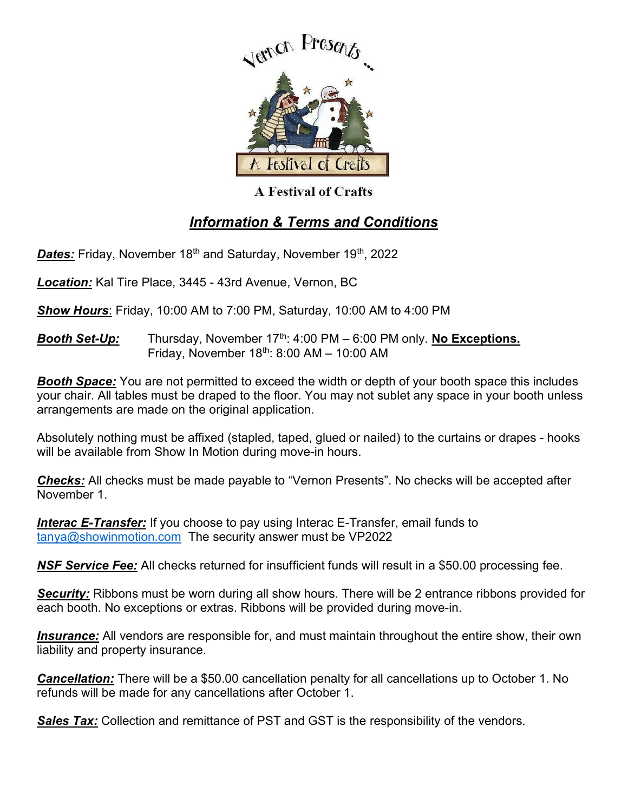

**A Festival of Crafts** 

## Information & Terms and Conditions

Dates: Friday, November 18<sup>th</sup> and Saturday, November 19<sup>th</sup>, 2022

Location: Kal Tire Place, 3445 - 43rd Avenue, Vernon, BC

**Show Hours:** Friday, 10:00 AM to 7:00 PM, Saturday, 10:00 AM to 4:00 PM

**Booth Set-Up:** Thursday, November  $17<sup>th</sup>$ : 4:00 PM – 6:00 PM only. No Exceptions. Friday, November  $18<sup>th</sup>$ : 8:00 AM – 10:00 AM

**Booth Space:** You are not permitted to exceed the width or depth of your booth space this includes your chair. All tables must be draped to the floor. You may not sublet any space in your booth unless arrangements are made on the original application.

Absolutely nothing must be affixed (stapled, taped, glued or nailed) to the curtains or drapes - hooks will be available from Show In Motion during move-in hours.

Checks: All checks must be made payable to "Vernon Presents". No checks will be accepted after November 1.

**Interac E-Transfer:** If you choose to pay using Interac E-Transfer, email funds to tanya@showinmotion.com The security answer must be VP2022

**NSF Service Fee:** All checks returned for insufficient funds will result in a \$50.00 processing fee.

Security: Ribbons must be worn during all show hours. There will be 2 entrance ribbons provided for each booth. No exceptions or extras. Ribbons will be provided during move-in.

**Insurance:** All vendors are responsible for, and must maintain throughout the entire show, their own liability and property insurance.

Cancellation: There will be a \$50.00 cancellation penalty for all cancellations up to October 1. No refunds will be made for any cancellations after October 1.

Sales Tax: Collection and remittance of PST and GST is the responsibility of the vendors.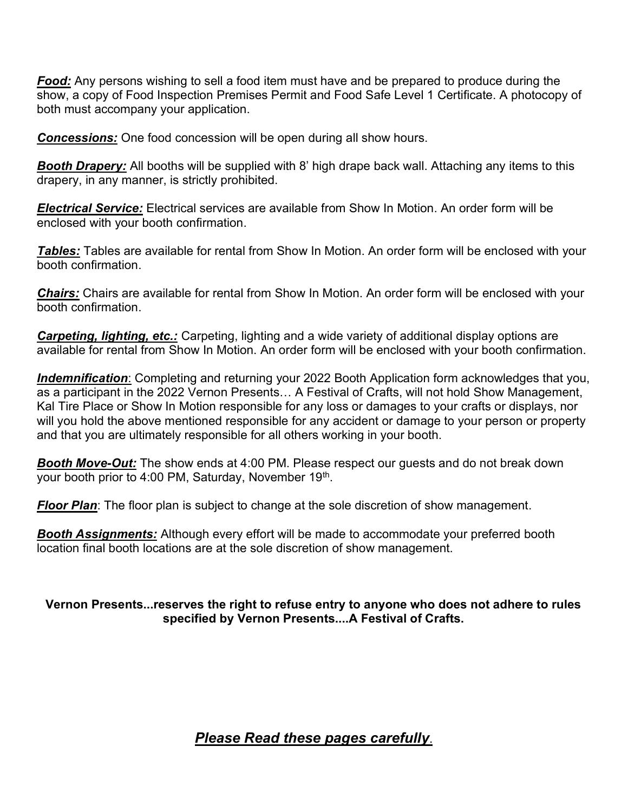**Food:** Any persons wishing to sell a food item must have and be prepared to produce during the show, a copy of Food Inspection Premises Permit and Food Safe Level 1 Certificate. A photocopy of both must accompany your application.

**Concessions:** One food concession will be open during all show hours.

**Booth Drapery:** All booths will be supplied with 8' high drape back wall. Attaching any items to this drapery, in any manner, is strictly prohibited.

**Electrical Service:** Electrical services are available from Show In Motion. An order form will be enclosed with your booth confirmation.

**Tables:** Tables are available for rental from Show In Motion. An order form will be enclosed with your booth confirmation.

Chairs: Chairs are available for rental from Show In Motion. An order form will be enclosed with your booth confirmation.

**Carpeting, lighting, etc.:** Carpeting, lighting and a wide variety of additional display options are available for rental from Show In Motion. An order form will be enclosed with your booth confirmation.

Indemnification: Completing and returning your 2022 Booth Application form acknowledges that you, as a participant in the 2022 Vernon Presents… A Festival of Crafts, will not hold Show Management, Kal Tire Place or Show In Motion responsible for any loss or damages to your crafts or displays, nor will you hold the above mentioned responsible for any accident or damage to your person or property and that you are ultimately responsible for all others working in your booth.

**Booth Move-Out:** The show ends at 4:00 PM. Please respect our guests and do not break down your booth prior to 4:00 PM, Saturday, November 19<sup>th</sup>.

**Floor Plan**: The floor plan is subject to change at the sole discretion of show management.

**Booth Assignments:** Although every effort will be made to accommodate your preferred booth location final booth locations are at the sole discretion of show management.

## Vernon Presents...reserves the right to refuse entry to anyone who does not adhere to rules specified by Vernon Presents....A Festival of Crafts.

## Please Read these pages carefully.